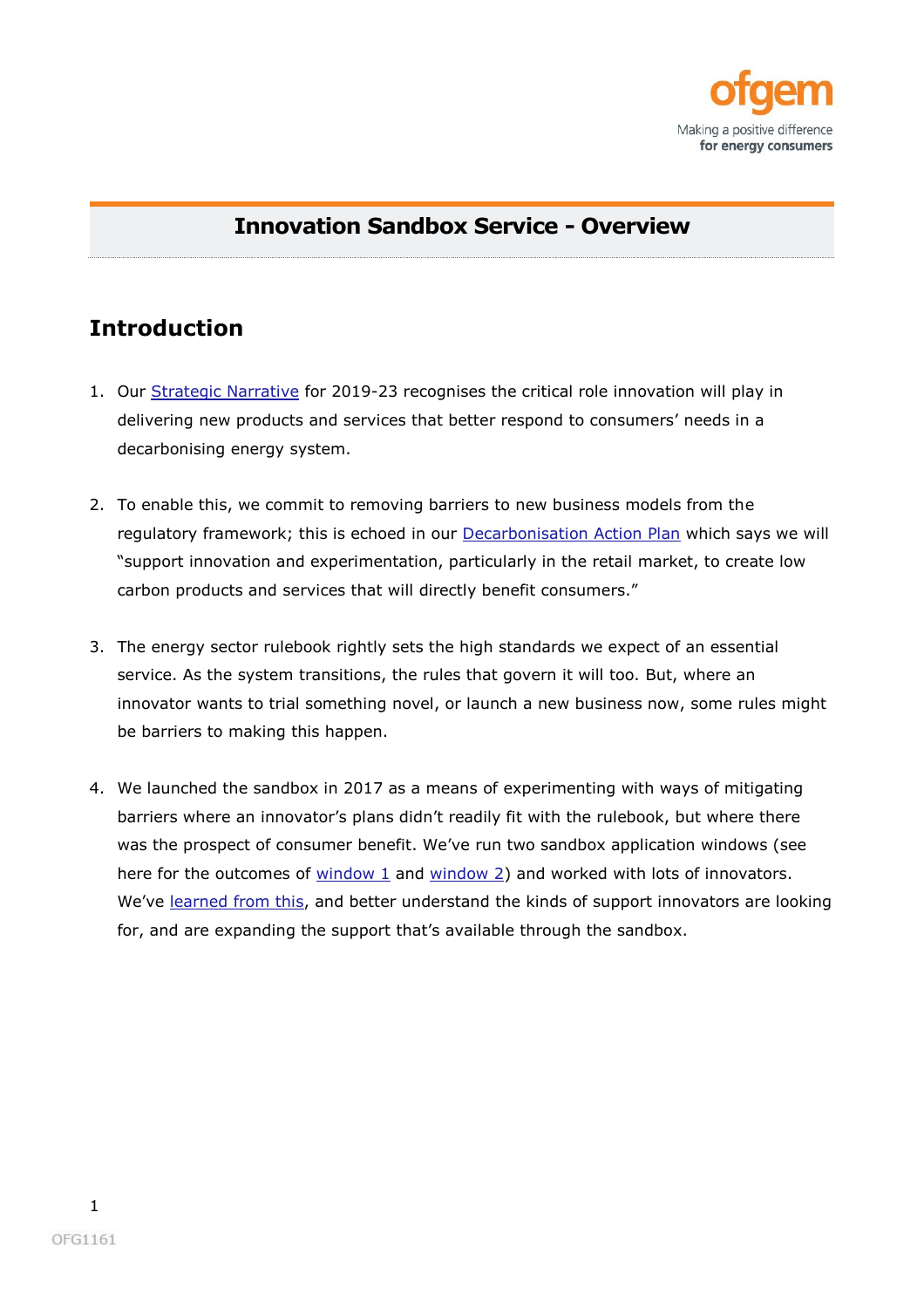

### **Innovation Sandbox Service - Overview**

# **Introduction**

- 1. Our [Strategic Narrative](https://www.ofgem.gov.uk/publications-and-updates/ofgem-strategic-narrative-2019-23) for 2019-23 recognises the critical role innovation will play in delivering new products and services that better respond to consumers' needs in a decarbonising energy system.
- 2. To enable this, we commit to removing barriers to new business models from the regulatory framework; this is echoed in our [Decarbonisation Action Plan](https://www.ofgem.gov.uk/publications-and-updates/ofgem-s-decarbonisation-action-plan) which says we will "support innovation and experimentation, particularly in the retail market, to create low carbon products and services that will directly benefit consumers."
- 3. The energy sector rulebook rightly sets the high standards we expect of an essential service. As the system transitions, the rules that govern it will too. But, where an innovator wants to trial something novel, or launch a new business now, some rules might be barriers to making this happen.
- 4. We launched the sandbox in 2017 as a means of experimenting with ways of mitigating barriers where an innovator's plans didn't readily fit with the rulebook, but where there was the prospect of consumer benefit. We've run two sandbox application windows (see here for the outcomes of [window 1](https://www.ofgem.gov.uk/publications-and-updates/innovation-link-outcome-sandbox-window-1) and [window 2\)](https://www.ofgem.gov.uk/publications-and-updates/innovation-link-enabling-trials-through-regulatory-sandbox) and worked with lots of innovators. We've [learned from this,](https://www.ofgem.gov.uk/publications-and-updates/insights-running-regulatory-sandbox) and better understand the kinds of support innovators are looking for, and are expanding the support that's available through the sandbox.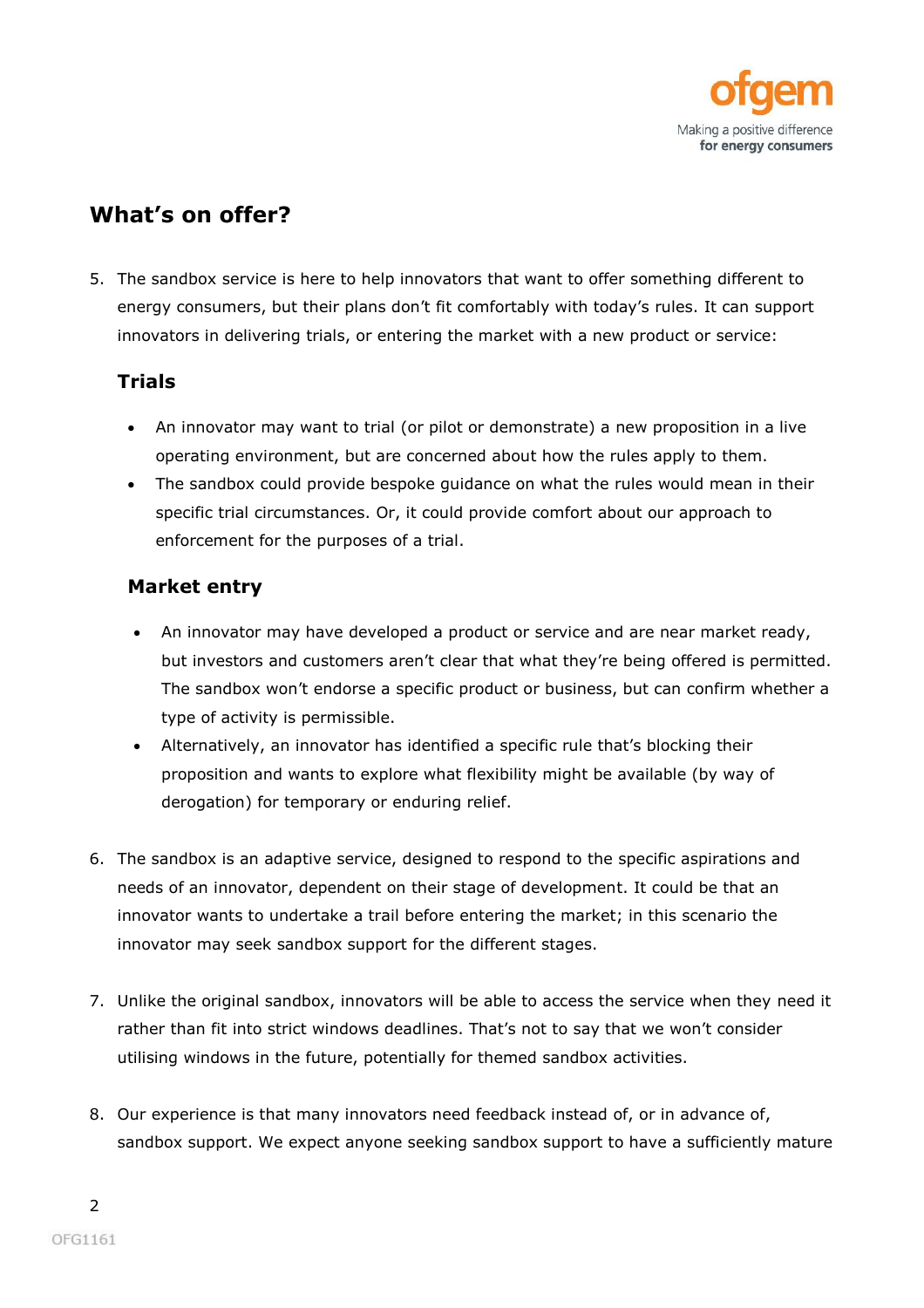

# **What's on offer?**

5. The sandbox service is here to help innovators that want to offer something different to energy consumers, but their plans don't fit comfortably with today's rules. It can support innovators in delivering trials, or entering the market with a new product or service:

### **Trials**

- An innovator may want to trial (or pilot or demonstrate) a new proposition in a live operating environment, but are concerned about how the rules apply to them.
- The sandbox could provide bespoke guidance on what the rules would mean in their specific trial circumstances. Or, it could provide comfort about our approach to enforcement for the purposes of a trial.

### **Market entry**

- An innovator may have developed a product or service and are near market ready, but investors and customers aren't clear that what they're being offered is permitted. The sandbox won't endorse a specific product or business, but can confirm whether a type of activity is permissible.
- Alternatively, an innovator has identified a specific rule that's blocking their proposition and wants to explore what flexibility might be available (by way of derogation) for temporary or enduring relief.
- 6. The sandbox is an adaptive service, designed to respond to the specific aspirations and needs of an innovator, dependent on their stage of development. It could be that an innovator wants to undertake a trail before entering the market; in this scenario the innovator may seek sandbox support for the different stages.
- 7. Unlike the original sandbox, innovators will be able to access the service when they need it rather than fit into strict windows deadlines. That's not to say that we won't consider utilising windows in the future, potentially for themed sandbox activities.
- 8. Our experience is that many innovators need feedback instead of, or in advance of, sandbox support. We expect anyone seeking sandbox support to have a sufficiently mature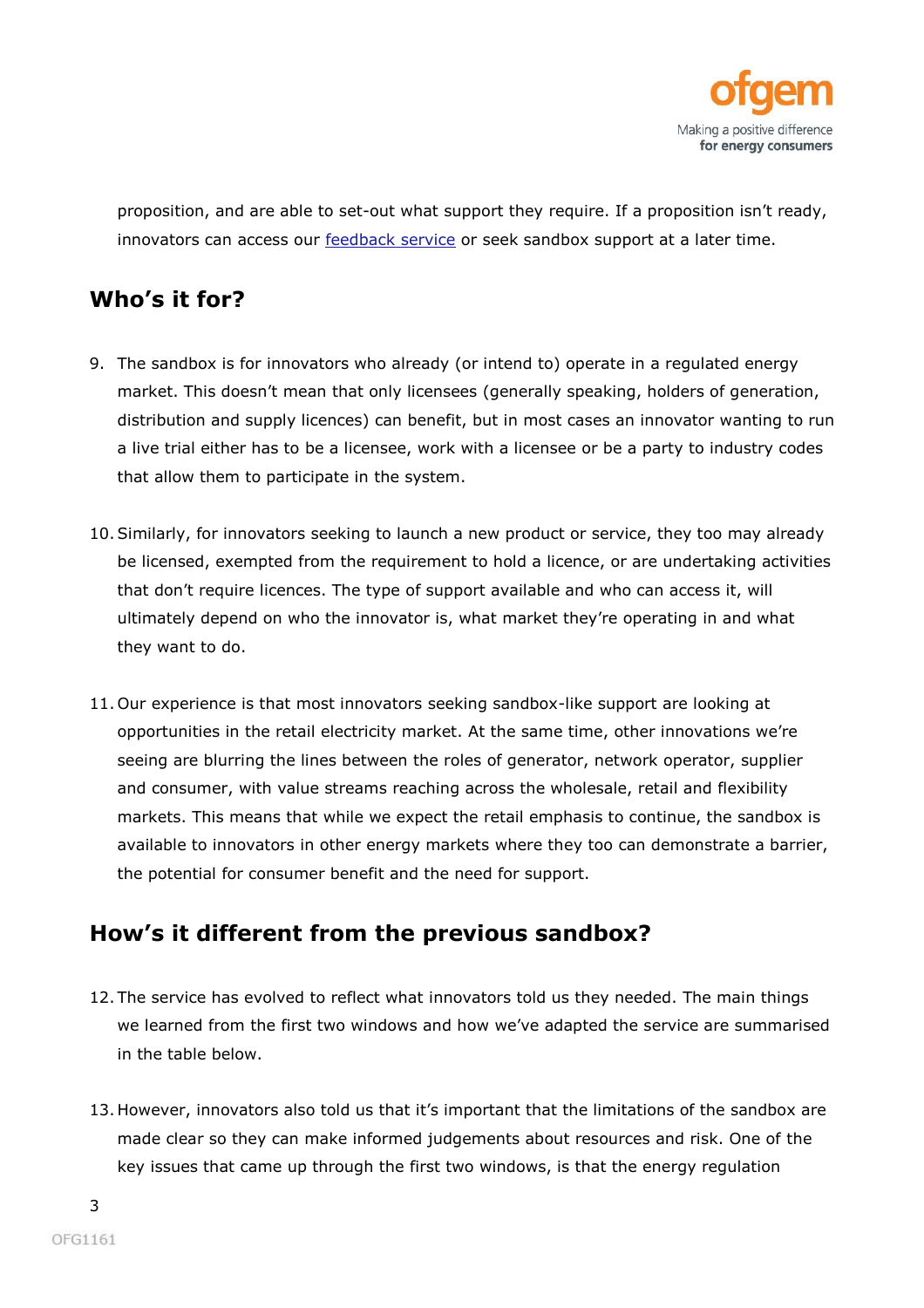

proposition, and are able to set-out what support they require. If a proposition isn't ready, innovators can access our **feedback service** or seek sandbox support at a later time.

# **Who's it for?**

- 9. The sandbox is for innovators who already (or intend to) operate in a regulated energy market. This doesn't mean that only licensees (generally speaking, holders of generation, distribution and supply licences) can benefit, but in most cases an innovator wanting to run a live trial either has to be a licensee, work with a licensee or be a party to industry codes that allow them to participate in the system.
- 10.Similarly, for innovators seeking to launch a new product or service, they too may already be licensed, exempted from the requirement to hold a licence, or are undertaking activities that don't require licences. The type of support available and who can access it, will ultimately depend on who the innovator is, what market they're operating in and what they want to do.
- 11. Our experience is that most innovators seeking sandbox-like support are looking at opportunities in the retail electricity market. At the same time, other innovations we're seeing are blurring the lines between the roles of generator, network operator, supplier and consumer, with value streams reaching across the wholesale, retail and flexibility markets. This means that while we expect the retail emphasis to continue, the sandbox is available to innovators in other energy markets where they too can demonstrate a barrier, the potential for consumer benefit and the need for support.

## **How's it different from the previous sandbox?**

- 12. The service has evolved to reflect what innovators told us they needed. The main things we learned from the first two windows and how we've adapted the service are summarised in the table below.
- 13. However, innovators also told us that it's important that the limitations of the sandbox are made clear so they can make informed judgements about resources and risk. One of the key issues that came up through the first two windows, is that the energy regulation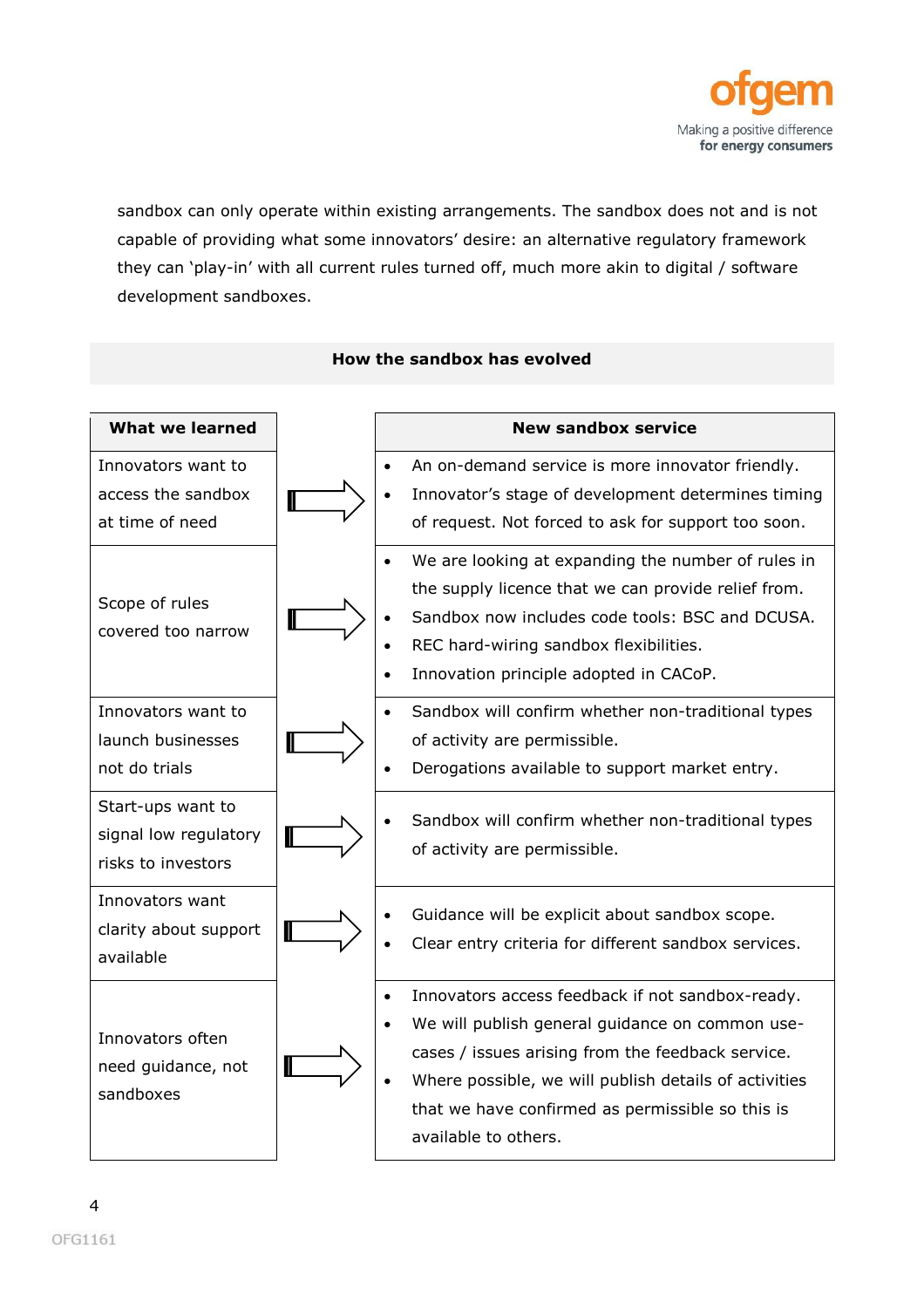

sandbox can only operate within existing arrangements. The sandbox does not and is not capable of providing what some innovators' desire: an alternative regulatory framework they can 'play-in' with all current rules turned off, much more akin to digital / software development sandboxes.



#### **How the sandbox has evolved**